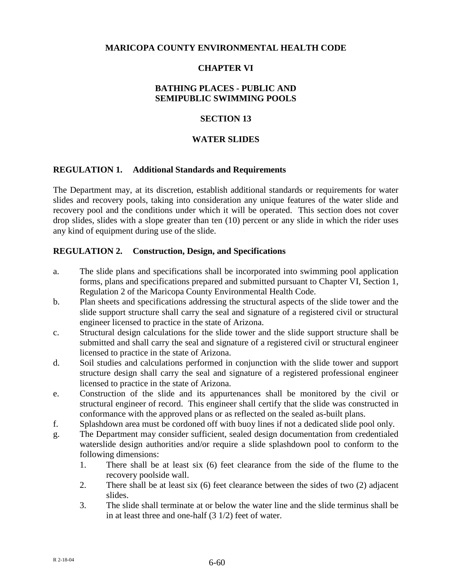### **MARICOPA COUNTY ENVIRONMENTAL HEALTH CODE**

### **CHAPTER VI**

## **BATHING PLACES - PUBLIC AND SEMIPUBLIC SWIMMING POOLS**

#### **SECTION 13**

#### **WATER SLIDES**

#### **REGULATION 1. Additional Standards and Requirements**

The Department may, at its discretion, establish additional standards or requirements for water slides and recovery pools, taking into consideration any unique features of the water slide and recovery pool and the conditions under which it will be operated. This section does not cover drop slides, slides with a slope greater than ten (10) percent or any slide in which the rider uses any kind of equipment during use of the slide.

#### **REGULATION 2. Construction, Design, and Specifications**

- a. The slide plans and specifications shall be incorporated into swimming pool application forms, plans and specifications prepared and submitted pursuant to Chapter VI, Section 1, Regulation 2 of the Maricopa County Environmental Health Code.
- b. Plan sheets and specifications addressing the structural aspects of the slide tower and the slide support structure shall carry the seal and signature of a registered civil or structural engineer licensed to practice in the state of Arizona.
- c. Structural design calculations for the slide tower and the slide support structure shall be submitted and shall carry the seal and signature of a registered civil or structural engineer licensed to practice in the state of Arizona.
- d. Soil studies and calculations performed in conjunction with the slide tower and support structure design shall carry the seal and signature of a registered professional engineer licensed to practice in the state of Arizona.
- e. Construction of the slide and its appurtenances shall be monitored by the civil or structural engineer of record. This engineer shall certify that the slide was constructed in conformance with the approved plans or as reflected on the sealed as-built plans.
- f. Splashdown area must be cordoned off with buoy lines if not a dedicated slide pool only.
- g. The Department may consider sufficient, sealed design documentation from credentialed waterslide design authorities and/or require a slide splashdown pool to conform to the following dimensions:
	- 1. There shall be at least six (6) feet clearance from the side of the flume to the recovery poolside wall.
	- 2. There shall be at least six (6) feet clearance between the sides of two (2) adjacent slides.
	- 3. The slide shall terminate at or below the water line and the slide terminus shall be in at least three and one-half (3 1/2) feet of water.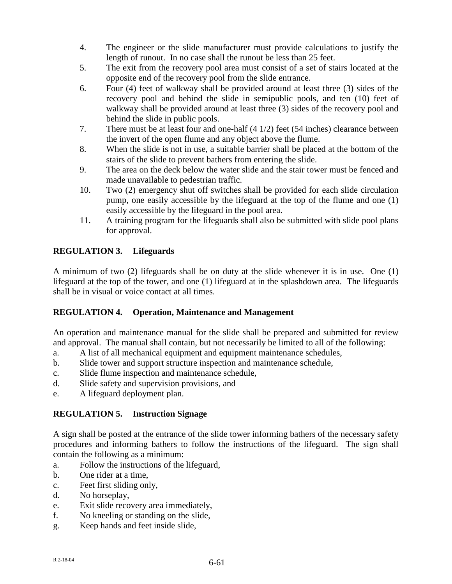- 4. The engineer or the slide manufacturer must provide calculations to justify the length of runout. In no case shall the runout be less than 25 feet.
- 5. The exit from the recovery pool area must consist of a set of stairs located at the opposite end of the recovery pool from the slide entrance.
- 6. Four (4) feet of walkway shall be provided around at least three (3) sides of the recovery pool and behind the slide in semipublic pools, and ten (10) feet of walkway shall be provided around at least three (3) sides of the recovery pool and behind the slide in public pools.
- 7. There must be at least four and one-half (4 1/2) feet (54 inches) clearance between the invert of the open flume and any object above the flume.
- 8. When the slide is not in use, a suitable barrier shall be placed at the bottom of the stairs of the slide to prevent bathers from entering the slide.
- 9. The area on the deck below the water slide and the stair tower must be fenced and made unavailable to pedestrian traffic.
- 10. Two (2) emergency shut off switches shall be provided for each slide circulation pump, one easily accessible by the lifeguard at the top of the flume and one (1) easily accessible by the lifeguard in the pool area.
- 11. A training program for the lifeguards shall also be submitted with slide pool plans for approval.

# **REGULATION 3. Lifeguards**

A minimum of two (2) lifeguards shall be on duty at the slide whenever it is in use. One (1) lifeguard at the top of the tower, and one (1) lifeguard at in the splashdown area. The lifeguards shall be in visual or voice contact at all times.

## **REGULATION 4. Operation, Maintenance and Management**

An operation and maintenance manual for the slide shall be prepared and submitted for review and approval. The manual shall contain, but not necessarily be limited to all of the following:

- a. A list of all mechanical equipment and equipment maintenance schedules,
- b. Slide tower and support structure inspection and maintenance schedule,
- c. Slide flume inspection and maintenance schedule,
- d. Slide safety and supervision provisions, and
- e. A lifeguard deployment plan.

## **REGULATION 5. Instruction Signage**

A sign shall be posted at the entrance of the slide tower informing bathers of the necessary safety procedures and informing bathers to follow the instructions of the lifeguard. The sign shall contain the following as a minimum:

- a. Follow the instructions of the lifeguard,
- b. One rider at a time,
- c. Feet first sliding only,
- d. No horseplay,
- e. Exit slide recovery area immediately,
- f. No kneeling or standing on the slide,
- g. Keep hands and feet inside slide,